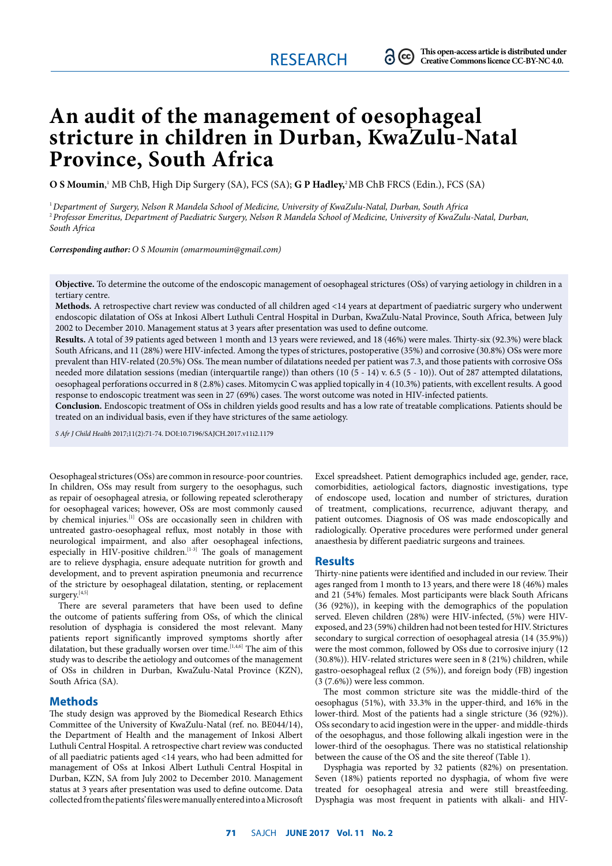# **An audit of the management of oesophageal stricture in children in Durban, KwaZulu-Natal Province, South Africa**

**O S Moumin**, <sup>1</sup> MB ChB, High Dip Surgery (SA), FCS (SA); **G P Hadley,**2 MB ChB FRCS (Edin.), FCS (SA)

<sup>1</sup>*Department of Surgery, Nelson R Mandela School of Medicine, University of KwaZulu-Natal, Durban, South Africa*  <sup>2</sup>*Professor Emeritus, Department of Paediatric Surgery, Nelson R Mandela School of Medicine, University of KwaZulu-Natal, Durban, South Africa*

*Corresponding author: O S Moumin (omarmoumin@gmail.com)*

**Objective.** To determine the outcome of the endoscopic management of oesophageal strictures (OSs) of varying aetiology in children in a tertiary centre.

**Methods.** A retrospective chart review was conducted of all children aged <14 years at department of paediatric surgery who underwent endoscopic dilatation of OSs at Inkosi Albert Luthuli Central Hospital in Durban, KwaZulu-Natal Province, South Africa, between July 2002 to December 2010. Management status at 3 years after presentation was used to define outcome.

**Results.** A total of 39 patients aged between 1 month and 13 years were reviewed, and 18 (46%) were males. Thirty-six (92.3%) were black South Africans, and 11 (28%) were HIV-infected. Among the types of strictures, postoperative (35%) and corrosive (30.8%) OSs were more prevalent than HIV-related (20.5%) OSs. The mean number of dilatations needed per patient was 7.3, and those patients with corrosive OSs needed more dilatation sessions (median (interquartile range)) than others (10 (5 - 14) v. 6.5 (5 - 10)). Out of 287 attempted dilatations, oesophageal perforations occurred in 8 (2.8%) cases. Mitomycin C was applied topically in 4 (10.3%) patients, with excellent results. A good response to endoscopic treatment was seen in 27 (69%) cases. The worst outcome was noted in HIV-infected patients.

**Conclusion.** Endoscopic treatment of OSs in children yields good results and has a low rate of treatable complications. Patients should be treated on an individual basis, even if they have strictures of the same aetiology.

*S Afr J Child Health* 2017;11(2):71-74. DOI:10.7196/SAJCH.2017.v11i2.1179

Oesophageal strictures (OSs) are common in resource-poor countries. In children, OSs may result from surgery to the oesophagus, such as repair of oesophageal atresia, or following repeated sclerotherapy for oesophageal varices; however, OSs are most commonly caused by chemical injuries.<sup>[1]</sup> OSs are occasionally seen in children with untreated gastro-oesophageal reflux, most notably in those with neurological impairment, and also after oesophageal infections, especially in HIV-positive children.<sup>[1-3]</sup> The goals of management are to relieve dysphagia, ensure adequate nutrition for growth and development, and to prevent aspiration pneumonia and recurrence of the stricture by oesophageal dilatation, stenting, or replacement surgery.<sup>[4,5]</sup>

There are several parameters that have been used to define the outcome of patients suffering from OSs, of which the clinical resolution of dysphagia is considered the most relevant. Many patients report significantly improved symptoms shortly after dilatation, but these gradually worsen over time.  $[1,4,6]$  The aim of this study was to describe the aetiology and outcomes of the management of OSs in children in Durban, KwaZulu-Natal Province (KZN), South Africa (SA).

## **Methods**

The study design was approved by the Biomedical Research Ethics Committee of the University of KwaZulu-Natal (ref. no. BE044/14), the Department of Health and the management of Inkosi Albert Luthuli Central Hospital. A retrospective chart review was conducted of all paediatric patients aged <14 years, who had been admitted for management of OSs at Inkosi Albert Luthuli Central Hospital in Durban, KZN, SA from July 2002 to December 2010. Management status at 3 years after presentation was used to define outcome. Data collected from the patients' files were manually entered into a Microsoft

Excel spreadsheet. Patient demographics included age, gender, race, comorbidities, aetiological factors, diagnostic investigations, type of endoscope used, location and number of strictures, duration of treatment, complications, recurrence, adjuvant therapy, and patient outcomes. Diagnosis of OS was made endoscopically and radiologically. Operative procedures were performed under general anaesthesia by different paediatric surgeons and trainees.

#### **Results**

Thirty-nine patients were identified and included in our review. Their ages ranged from 1 month to 13 years, and there were 18 (46%) males and 21 (54%) females. Most participants were black South Africans (36 (92%)), in keeping with the demographics of the population served. Eleven children (28%) were HIV-infected, (5%) were HIVexposed, and 23 (59%) children had not been tested for HIV. Strictures secondary to surgical correction of oesophageal atresia (14 (35.9%)) were the most common, followed by OSs due to corrosive injury (12 (30.8%)). HIV-related strictures were seen in 8 (21%) children, while gastro-oesophageal reflux (2 (5%)), and foreign body (FB) ingestion (3 (7.6%)) were less common.

The most common stricture site was the middle-third of the oesophagus (51%), with 33.3% in the upper-third, and 16% in the lower-third. Most of the patients had a single stricture (36 (92%)). OSs secondary to acid ingestion were in the upper- and middle-thirds of the oesophagus, and those following alkali ingestion were in the lower-third of the oesophagus. There was no statistical relationship between the cause of the OS and the site thereof (Table 1).

Dysphagia was reported by 32 patients (82%) on presentation. Seven (18%) patients reported no dysphagia, of whom five were treated for oesophageal atresia and were still breastfeeding. Dysphagia was most frequent in patients with alkali- and HIV-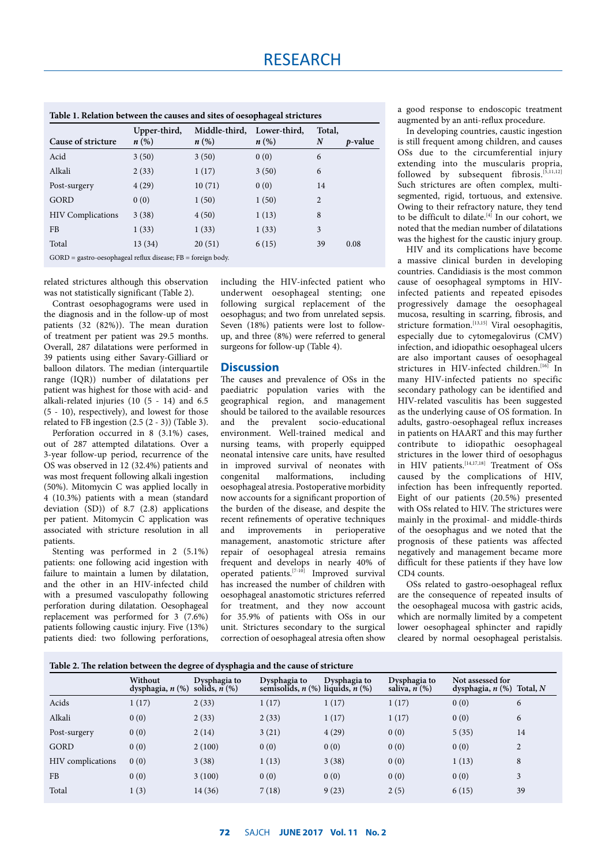| Table 1. Relation between the causes and sites of oesophageal strictures |                                    |                                     |                                    |                            |                 |  |  |
|--------------------------------------------------------------------------|------------------------------------|-------------------------------------|------------------------------------|----------------------------|-----------------|--|--|
| Cause of stricture                                                       | Upper-third,<br>$n\left(\%\right)$ | Middle-third,<br>$n\left(\%\right)$ | Lower-third.<br>$n\left(\%\right)$ | Total.<br>$\boldsymbol{N}$ | <i>p</i> -value |  |  |
| Acid                                                                     | 3(50)                              | 3(50)                               | 0(0)                               | 6                          |                 |  |  |
| Alkali                                                                   | 2(33)                              | 1(17)                               | 3(50)                              | 6                          |                 |  |  |
| Post-surgery                                                             | 4(29)                              | 10(71)                              | 0(0)                               | 14                         |                 |  |  |
| <b>GORD</b>                                                              | 0(0)                               | 1(50)                               | 1(50)                              | 2                          |                 |  |  |
| <b>HIV</b> Complications                                                 | 3(38)                              | 4(50)                               | 1(13)                              | 8                          |                 |  |  |
| F <sub>B</sub>                                                           | 1(33)                              | 1(33)                               | 1(33)                              | 3                          |                 |  |  |
| Total                                                                    | 13(34)                             | 20(51)                              | 6(15)                              | 39                         | 0.08            |  |  |
| $GORD =$ gastro-oesophageal reflux disease; $FB =$ foreign body.         |                                    |                                     |                                    |                            |                 |  |  |

related strictures although this observation was not statistically significant (Table 2).

Contrast oesophagograms were used in the diagnosis and in the follow-up of most patients (32 (82%)). The mean duration of treatment per patient was 29.5 months. Overall, 287 dilatations were performed in 39 patients using either Savary-Gilliard or balloon dilators. The median (interquartile range (IQR)) number of dilatations per patient was highest for those with acid- and alkali-related injuries (10 (5 - 14) and 6.5 (5 - 10), respectively), and lowest for those related to FB ingestion  $(2.5 (2 - 3))$  (Table 3).

Perforation occurred in 8 (3.1%) cases, out of 287 attempted dilatations. Over a 3-year follow-up period, recurrence of the OS was observed in 12 (32.4%) patients and was most frequent following alkali ingestion (50%). Mitomycin C was applied locally in 4 (10.3%) patients with a mean (standard deviation (SD)) of 8.7 (2.8) applications per patient. Mitomycin C application was associated with stricture resolution in all patients.

Stenting was performed in 2 (5.1%) patients: one following acid ingestion with failure to maintain a lumen by dilatation, and the other in an HIV-infected child with a presumed vasculopathy following perforation during dilatation. Oesophageal replacement was performed for  $3(7.6%)$ patients following caustic injury. Five (13%) patients died: two following perforations,

including the HIV-infected patient who underwent oesophageal stenting; one following surgical replacement of the oesophagus; and two from unrelated sepsis. Seven (18%) patients were lost to followup, and three (8%) were referred to general surgeons for follow-up (Table 4).

# **Discussion**

The causes and prevalence of OSs in the paediatric population varies with the geographical region, and management should be tailored to the available resources and the prevalent socio-educational environment. Well-trained medical and nursing teams, with properly equipped neonatal intensive care units, have resulted in improved survival of neonates with congenital malformations, including oesophageal atresia. Postoperative morbidity now accounts for a significant proportion of the burden of the disease, and despite the recent refinements of operative techniques and improvements in perioperative management, anastomotic stricture after repair of oesophageal atresia remains frequent and develops in nearly 40% of operated patients.[7-10] Improved survival has increased the number of children with oesophageal anastomotic strictures referred for treatment, and they now account for 35.9% of patients with OSs in our unit. Strictures secondary to the surgical correction of oesophageal atresia often show

a good response to endoscopic treatment augmented by an anti-reflux procedure.

In developing countries, caustic ingestion is still frequent among children, and causes OSs due to the circumferential injury extending into the muscularis propria, followed by subsequent fibrosis.<sup>[5,11,12]</sup> Such strictures are often complex, multisegmented, rigid, tortuous, and extensive. Owing to their refractory nature, they tend to be difficult to dilate.<sup>[4]</sup> In our cohort, we noted that the median number of dilatations was the highest for the caustic injury group.

HIV and its complications have become a massive clinical burden in developing countries. Candidiasis is the most common cause of oesophageal symptoms in HIVinfected patients and repeated episodes progressively damage the oesophageal mucosa, resulting in scarring, fibrosis, and stricture formation.<sup>[13,15]</sup> Viral oesophagitis, especially due to cytomegalovirus (CMV) infection, and idiopathic oesophageal ulcers are also important causes of oesophageal strictures in HIV-infected children.<sup>[16]</sup> In many HIV-infected patients no specific secondary pathology can be identified and HIV-related vasculitis has been suggested as the underlying cause of OS formation. In adults, gastro-oesophageal reflux increases in patients on HAART and this may further contribute to idiopathic oesophageal strictures in the lower third of oesophagus in HIV patients.<sup>[14,17,18]</sup> Treatment of OSs caused by the complications of HIV, infection has been infrequently reported. Eight of our patients (20.5%) presented with OSs related to HIV. The strictures were mainly in the proximal- and middle-thirds of the oesophagus and we noted that the prognosis of these patients was affected negatively and management became more difficult for these patients if they have low CD4 counts.

OSs related to gastro-oesophageal reflux are the consequence of repeated insults of the oesophageal mucosa with gastric acids, which are normally limited by a competent lower oesophageal sphincter and rapidly cleared by normal oesophageal peristalsis.

| Table 2. The relation between the degree of dysphagia and the cause of stricture |                                  |                                 |                                                      |              |                                    |                                                 |                |  |
|----------------------------------------------------------------------------------|----------------------------------|---------------------------------|------------------------------------------------------|--------------|------------------------------------|-------------------------------------------------|----------------|--|
|                                                                                  | Without<br>dysphagia, $n$ $(\%)$ | Dysphagia to<br>solids, $n(\%)$ | Dysphagia to<br>semisolids, $n$ (%) liquids, $n$ (%) | Dysphagia to | Dysphagia to<br>saliva, $n$ $(\%)$ | Not assessed for<br>dysphagia, $n$ (%) Total, N |                |  |
| Acids                                                                            | 1(17)                            | 2(33)                           | 1(17)                                                | 1(17)        | 1(17)                              | 0(0)                                            | 6              |  |
| Alkali                                                                           | 0(0)                             | 2(33)                           | 2(33)                                                | 1(17)        | 1(17)                              | 0(0)                                            | 6              |  |
| Post-surgery                                                                     | 0(0)                             | 2(14)                           | 3(21)                                                | 4(29)        | 0(0)                               | 5(35)                                           | 14             |  |
| GORD                                                                             | 0(0)                             | 2(100)                          | 0(0)                                                 | 0(0)         | 0(0)                               | 0(0)                                            | $\overline{2}$ |  |
| HIV complications                                                                | 0(0)                             | 3(38)                           | 1(13)                                                | 3(38)        | 0(0)                               | 1(13)                                           | 8              |  |
| <b>FB</b>                                                                        | 0(0)                             | 3(100)                          | 0(0)                                                 | 0(0)         | 0(0)                               | 0(0)                                            | 3              |  |
| Total                                                                            | 1(3)                             | 14 (36)                         | 7(18)                                                | 9(23)        | 2(5)                               | 6(15)                                           | 39             |  |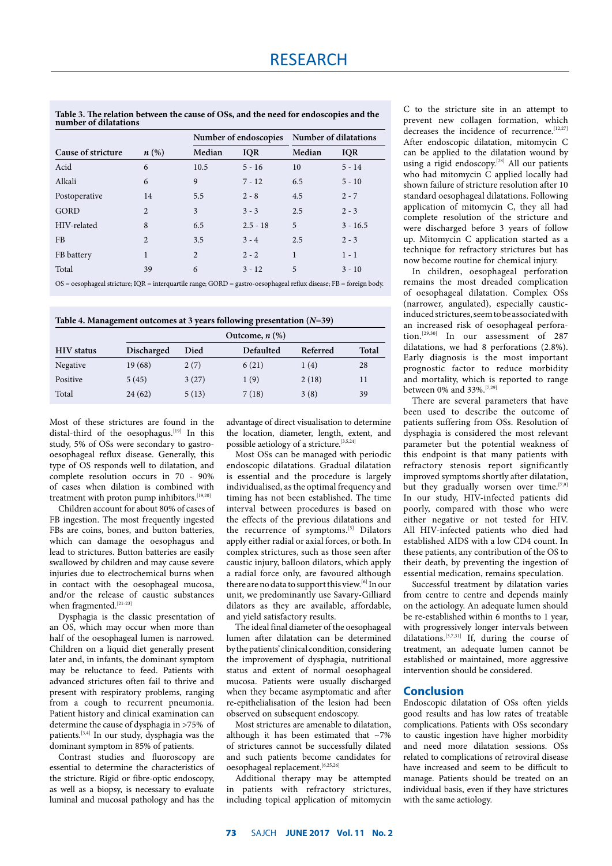**Table 3. The relation between the cause of OSs, and the need for endoscopies and the number of dilatations**

|                    |                    |        | Number of endoscopies |        | Number of dilatations |  |
|--------------------|--------------------|--------|-----------------------|--------|-----------------------|--|
| Cause of stricture | $n\left(\%\right)$ | Median | <b>IQR</b>            | Median | <b>IQR</b>            |  |
| Acid               | 6                  | 10.5   | $5 - 16$              | 10     | $5 - 14$              |  |
| Alkali             | 6                  | 9      | $7 - 12$              | 6.5    | $5 - 10$              |  |
| Postoperative      | 14                 | 5.5    | $2 - 8$               | 4.5    | $2 - 7$               |  |
| GORD               | $\overline{c}$     | 3      | $3 - 3$               | 2.5    | $2 - 3$               |  |
| HIV-related        | 8                  | 6.5    | $2.5 - 18$            | 5      | $3 - 16.5$            |  |
| <b>FB</b>          | $\overline{c}$     | 3.5    | $3 - 4$               | 2.5    | $2 - 3$               |  |
| FB battery         | 1                  | 2      | $2 - 2$               | 1      | $1 - 1$               |  |
| Total              | 39                 | 6      | $3 - 12$              | 5      | $3 - 10$              |  |
|                    |                    |        |                       |        |                       |  |

OS = oesophageal stricture; IQR = interquartile range; GORD = gastro-oesophageal reflux disease; FB = foreign body.

**Table 4. Management outcomes at 3 years following presentation (***N***=39)**

|                   |            | Outcome, $n$ $(\%)$ |           |          |              |  |
|-------------------|------------|---------------------|-----------|----------|--------------|--|
| <b>HIV</b> status | Discharged | Died                | Defaulted | Referred | <b>Total</b> |  |
| Negative          | 19(68)     | 2(7)                | 6(21)     | 1(4)     | 28           |  |
| Positive          | 5(45)      | 3(27)               | 1(9)      | 2(18)    | 11           |  |
| Total             | 24(62)     | 5(13)               | 7(18)     | 3(8)     | 39           |  |

Most of these strictures are found in the distal-third of the oesophagus.<sup>[19]</sup> In this study, 5% of OSs were secondary to gastrooesophageal reflux disease. Generally, this type of OS responds well to dilatation, and complete resolution occurs in 70 - 90% of cases when dilation is combined with treatment with proton pump inhibitors.<sup>[19,20]</sup>

Children account for about 80% of cases of FB ingestion. The most frequently ingested FBs are coins, bones, and button batteries, which can damage the oesophagus and lead to strictures. Button batteries are easily swallowed by children and may cause severe injuries due to electrochemical burns when in contact with the oesophageal mucosa, and/or the release of caustic substances when fragmented.<sup>[21-23]</sup>

Dysphagia is the classic presentation of an OS, which may occur when more than half of the oesophageal lumen is narrowed. Children on a liquid diet generally present later and, in infants, the dominant symptom may be reluctance to feed. Patients with advanced strictures often fail to thrive and present with respiratory problems, ranging from a cough to recurrent pneumonia. Patient history and clinical examination can determine the cause of dysphagia in >75% of patients.<sup>[3,4]</sup> In our study, dysphagia was the dominant symptom in 85% of patients.

Contrast studies and fluoroscopy are essential to determine the characteristics of the stricture. Rigid or fibre-optic endoscopy, as well as a biopsy, is necessary to evaluate luminal and mucosal pathology and has the

advantage of direct visualisation to determine the location, diameter, length, extent, and possible aetiology of a stricture.<sup>[3,5,24]</sup>

Most OSs can be managed with periodic endoscopic dilatations. Gradual dilatation is essential and the procedure is largely individualised, as the optimal frequency and timing has not been established. The time interval between procedures is based on the effects of the previous dilatations and the recurrence of symptoms.<sup>[5]</sup> Dilators apply either radial or axial forces, or both. In complex strictures, such as those seen after caustic injury, balloon dilators, which apply a radial force only, are favoured although there are no data to support this view.[6] In our unit, we predominantly use Savary-Gilliard dilators as they are available, affordable, and yield satisfactory results.

The ideal final diameter of the oesophageal lumen after dilatation can be determined by the patients' clinical condition, considering the improvement of dysphagia, nutritional status and extent of normal oesophageal mucosa. Patients were usually discharged when they became asymptomatic and after re-epithelialisation of the lesion had been observed on subsequent endoscopy.

Most strictures are amenable to dilatation, although it has been estimated that  $\sim$ 7% of strictures cannot be successfully dilated and such patients become candidates for oesophageal replacement.<sup>[6,25,26]</sup>

Additional therapy may be attempted in patients with refractory strictures, including topical application of mitomycin C to the stricture site in an attempt to prevent new collagen formation, which decreases the incidence of recurrence.<sup>[12,27]</sup> After endoscopic dilatation, mitomycin C can be applied to the dilatation wound by using a rigid endoscopy.<sup>[28]</sup> All our patients who had mitomycin C applied locally had shown failure of stricture resolution after 10 standard oesophageal dilatations. Following application of mitomycin C, they all had complete resolution of the stricture and were discharged before 3 years of follow up. Mitomycin C application started as a technique for refractory strictures but has now become routine for chemical injury.

In children, oesophageal perforation remains the most dreaded complication of oesophageal dilatation. Complex OSs (narrower, angulated), especially causticinduced strictures, seem to be associated with an increased risk of oesophageal perforation.[29,30] In our assessment of 287 dilatations, we had 8 perforations (2.8%). Early diagnosis is the most important prognostic factor to reduce morbidity and mortality, which is reported to range between 0% and 33%.[7,29]

There are several parameters that have been used to describe the outcome of patients suffering from OSs. Resolution of dysphagia is considered the most relevant parameter but the potential weakness of this endpoint is that many patients with refractory stenosis report significantly improved symptoms shortly after dilatation, but they gradually worsen over time.  $[7,9]$ In our study, HIV-infected patients did poorly, compared with those who were either negative or not tested for HIV. All HIV-infected patients who died had established AIDS with a low CD4 count. In these patients, any contribution of the OS to their death, by preventing the ingestion of essential medication, remains speculation.

Successful treatment by dilatation varies from centre to centre and depends mainly on the aetiology. An adequate lumen should be re-established within 6 months to 1 year, with progressively longer intervals between dilatations.<sup>[3,7,31]</sup> If, during the course of treatment, an adequate lumen cannot be established or maintained, more aggressive intervention should be considered.

## **Conclusion**

Endoscopic dilatation of OSs often yields good results and has low rates of treatable complications. Patients with OSs secondary to caustic ingestion have higher morbidity and need more dilatation sessions. OSs related to complications of retroviral disease have increased and seem to be difficult to manage. Patients should be treated on an individual basis, even if they have strictures with the same aetiology.